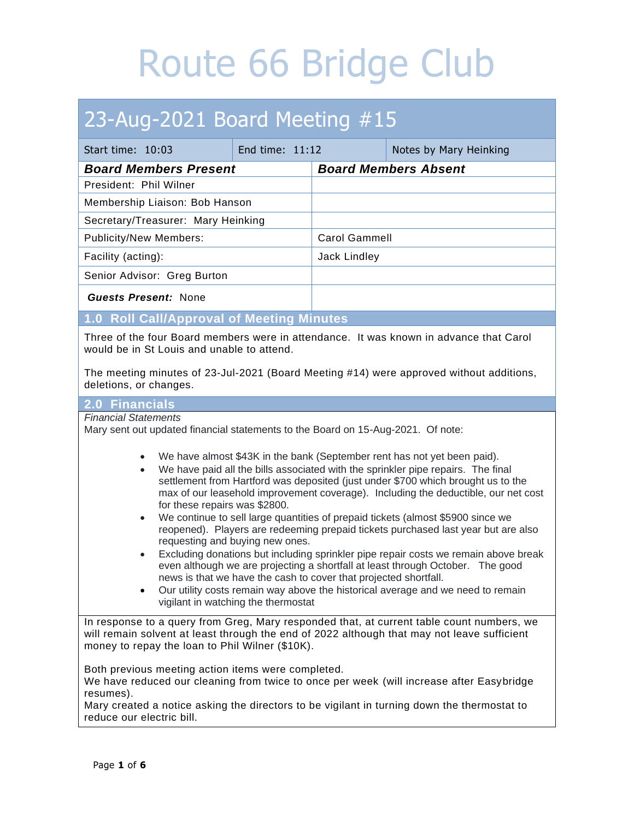### 23-Aug-2021 Board Meeting #15

| Start time: 10:03                                                                                                                                                                                                                                                                                                                                                                                                                                                                    | End time: 11:12 |                             | Notes by Mary Heinking |
|--------------------------------------------------------------------------------------------------------------------------------------------------------------------------------------------------------------------------------------------------------------------------------------------------------------------------------------------------------------------------------------------------------------------------------------------------------------------------------------|-----------------|-----------------------------|------------------------|
| <b>Board Members Present</b>                                                                                                                                                                                                                                                                                                                                                                                                                                                         |                 | <b>Board Members Absent</b> |                        |
| President: Phil Wilner                                                                                                                                                                                                                                                                                                                                                                                                                                                               |                 |                             |                        |
| Membership Liaison: Bob Hanson                                                                                                                                                                                                                                                                                                                                                                                                                                                       |                 |                             |                        |
| Secretary/Treasurer: Mary Heinking                                                                                                                                                                                                                                                                                                                                                                                                                                                   |                 |                             |                        |
| <b>Publicity/New Members:</b>                                                                                                                                                                                                                                                                                                                                                                                                                                                        |                 | <b>Carol Gammell</b>        |                        |
| Facility (acting):                                                                                                                                                                                                                                                                                                                                                                                                                                                                   |                 | Jack Lindley                |                        |
| Senior Advisor: Greg Burton                                                                                                                                                                                                                                                                                                                                                                                                                                                          |                 |                             |                        |
| <b>Guests Present: None</b>                                                                                                                                                                                                                                                                                                                                                                                                                                                          |                 |                             |                        |
| 1.0 Roll Call/Approval of Meeting Minutes                                                                                                                                                                                                                                                                                                                                                                                                                                            |                 |                             |                        |
| Three of the four Board members were in attendance. It was known in advance that Carol<br>would be in St Louis and unable to attend.                                                                                                                                                                                                                                                                                                                                                 |                 |                             |                        |
| The meeting minutes of 23-Jul-2021 (Board Meeting #14) were approved without additions,<br>deletions, or changes.                                                                                                                                                                                                                                                                                                                                                                    |                 |                             |                        |
| 2.0 Financials                                                                                                                                                                                                                                                                                                                                                                                                                                                                       |                 |                             |                        |
| <b>Financial Statements</b><br>Mary sent out updated financial statements to the Board on 15-Aug-2021. Of note:                                                                                                                                                                                                                                                                                                                                                                      |                 |                             |                        |
| We have almost \$43K in the bank (September rent has not yet been paid).<br>We have paid all the bills associated with the sprinkler pipe repairs. The final<br>$\bullet$<br>settlement from Hartford was deposited (just under \$700 which brought us to the<br>max of our leasehold improvement coverage). Including the deductible, our net cost<br>for these repairs was \$2800.<br>We continue to sell large quantities of prepaid tickets (almost \$5900 since we<br>$\bullet$ |                 |                             |                        |

- reopened). Players are redeeming prepaid tickets purchased last year but are also requesting and buying new ones.
- Excluding donations but including sprinkler pipe repair costs we remain above break even although we are projecting a shortfall at least through October. The good news is that we have the cash to cover that projected shortfall.
- Our utility costs remain way above the historical average and we need to remain vigilant in watching the thermostat

In response to a query from Greg, Mary responded that, at current table count numbers, we will remain solvent at least through the end of 2022 although that may not leave sufficient money to repay the loan to Phil Wilner (\$10K).

Both previous meeting action items were completed.

We have reduced our cleaning from twice to once per week (will increase after Easybridge resumes).

Mary created a notice asking the directors to be vigilant in turning down the thermostat to reduce our electric bill.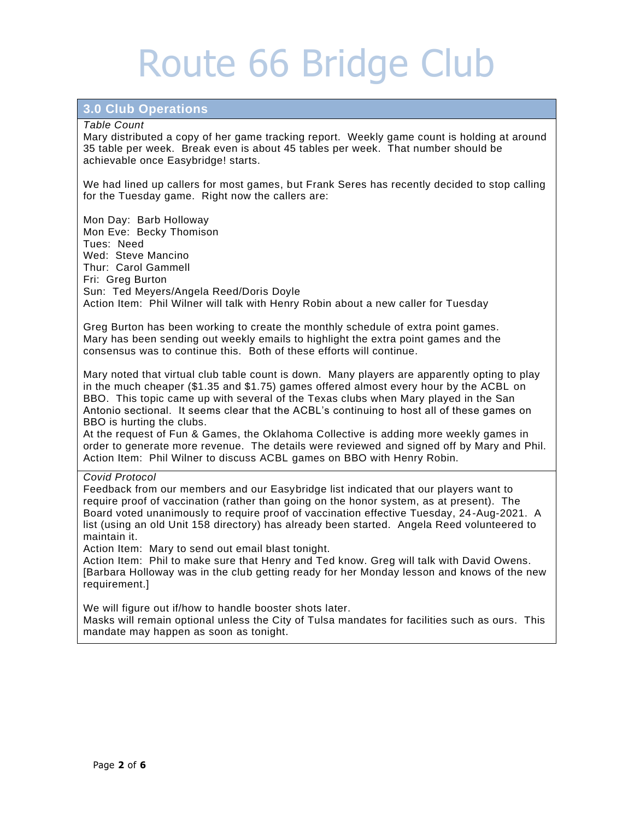### **3.0 Club Operations**

#### *Table Count*

Mary distributed a copy of her game tracking report. Weekly game count is holding at around 35 table per week. Break even is about 45 tables per week. That number should be achievable once Easybridge! starts.

We had lined up callers for most games, but Frank Seres has recently decided to stop calling for the Tuesday game. Right now the callers are:

Mon Day: Barb Holloway Mon Eve: Becky Thomison Tues: Need Wed: Steve Mancino Thur: Carol Gammell Fri: Greg Burton Sun: Ted Meyers/Angela Reed/Doris Doyle Action Item: Phil Wilner will talk with Henry Robin about a new caller for Tuesday

Greg Burton has been working to create the monthly schedule of extra point games. Mary has been sending out weekly emails to highlight the extra point games and the consensus was to continue this. Both of these efforts will continue.

Mary noted that virtual club table count is down. Many players are apparently opting to play in the much cheaper (\$1.35 and \$1.75) games offered almost every hour by the ACBL on BBO. This topic came up with several of the Texas clubs when Mary played in the San Antonio sectional. It seems clear that the ACBL's continuing to host all of these games on BBO is hurting the clubs.

At the request of Fun & Games, the Oklahoma Collective is adding more weekly games in order to generate more revenue. The details were reviewed and signed off by Mary and Phil. Action Item: Phil Wilner to discuss ACBL games on BBO with Henry Robin.

*Covid Protocol*

Feedback from our members and our Easybridge list indicated that our players want to require proof of vaccination (rather than going on the honor system, as at present). The Board voted unanimously to require proof of vaccination effective Tuesday, 24-Aug-2021. A list (using an old Unit 158 directory) has already been started. Angela Reed volunteered to maintain it.

Action Item: Mary to send out email blast tonight.

Action Item: Phil to make sure that Henry and Ted know. Greg will talk with David Owens. [Barbara Holloway was in the club getting ready for her Monday lesson and knows of the new requirement.]

We will figure out if/how to handle booster shots later. Masks will remain optional unless the City of Tulsa mandates for facilities such as ours. This mandate may happen as soon as tonight.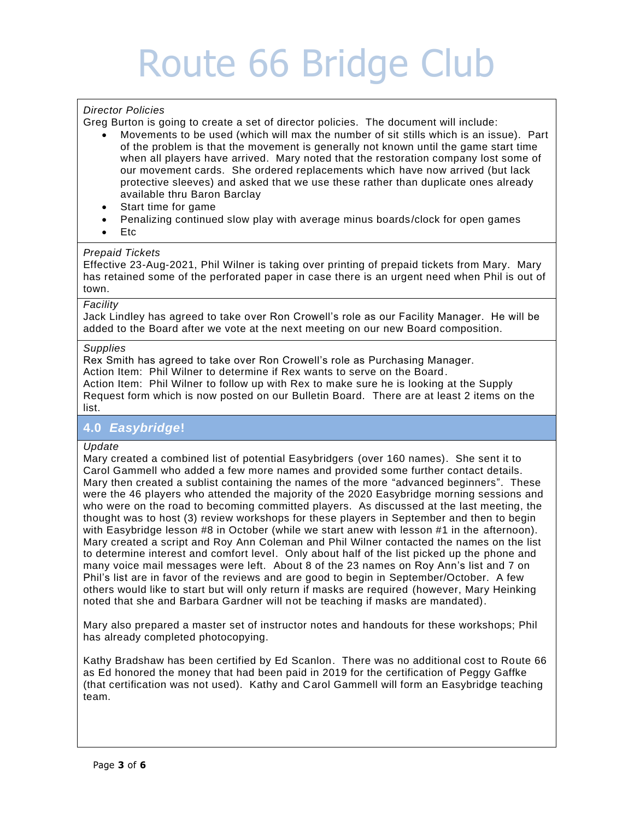### *Director Policies*

Greg Burton is going to create a set of director policies. The document will include:

- Movements to be used (which will max the number of sit stills which is an issue). Part of the problem is that the movement is generally not known until the game start time when all players have arrived. Mary noted that the restoration company lost some of our movement cards. She ordered replacements which have now arrived (but lack protective sleeves) and asked that we use these rather than duplicate ones already available thru Baron Barclay
- Start time for game
- Penalizing continued slow play with average minus boards /clock for open games
- Etc

#### *Prepaid Tickets*

Effective 23-Aug-2021, Phil Wilner is taking over printing of prepaid tickets from Mary. Mary has retained some of the perforated paper in case there is an urgent need when Phil is out of town.

#### *Facility*

Jack Lindley has agreed to take over Ron Crowell's role as our Facility Manager. He will be added to the Board after we vote at the next meeting on our new Board composition.

#### *Supplies*

Rex Smith has agreed to take over Ron Crowell's role as Purchasing Manager. Action Item: Phil Wilner to determine if Rex wants to serve on the Board . Action Item: Phil Wilner to follow up with Rex to make sure he is looking at the Supply Request form which is now posted on our Bulletin Board. There are at least 2 items on the list.

### **4.0** *Easybridge***!**

#### *Update*

Mary created a combined list of potential Easybridgers (over 160 names). She sent it to Carol Gammell who added a few more names and provided some further contact details. Mary then created a sublist containing the names of the more "advanced beginners". These were the 46 players who attended the majority of the 2020 Easybridge morning sessions and who were on the road to becoming committed players. As discussed at the last meeting, the thought was to host (3) review workshops for these players in September and then to begin with Easybridge lesson #8 in October (while we start anew with lesson #1 in the afternoon). Mary created a script and Roy Ann Coleman and Phil Wilner contacted the names on the list to determine interest and comfort level. Only about half of the list picked up the phone and many voice mail messages were left. About 8 of the 23 names on Roy Ann's list and 7 on Phil's list are in favor of the reviews and are good to begin in September/October. A few others would like to start but will only return if masks are required (however, Mary Heinking noted that she and Barbara Gardner will not be teaching if masks are mandated).

Mary also prepared a master set of instructor notes and handouts for these workshops; Phil has already completed photocopying.

Kathy Bradshaw has been certified by Ed Scanlon. There was no additional cost to Route 66 as Ed honored the money that had been paid in 2019 for the certification of Peggy Gaffke (that certification was not used). Kathy and Carol Gammell will form an Easybridge teaching team.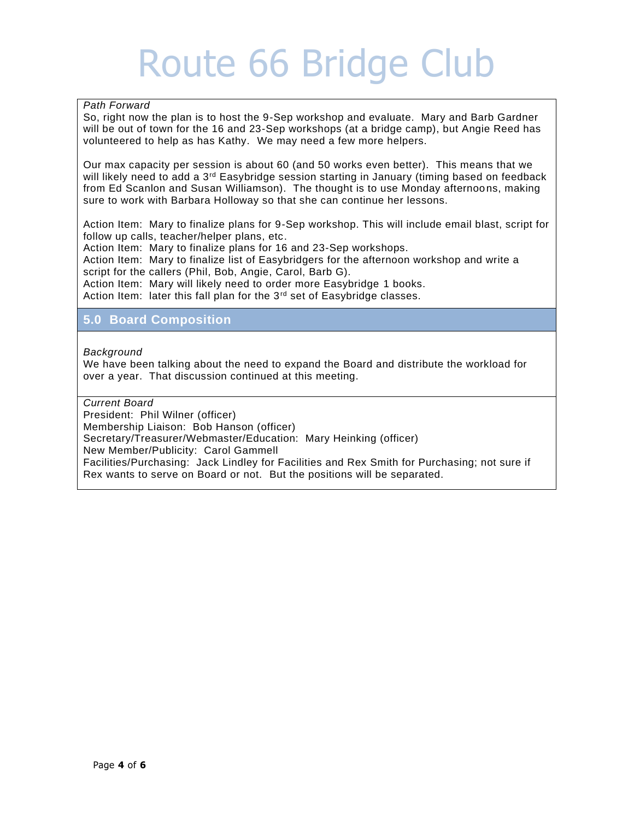### *Path Forward*

So, right now the plan is to host the 9-Sep workshop and evaluate. Mary and Barb Gardner will be out of town for the 16 and 23-Sep workshops (at a bridge camp), but Angie Reed has volunteered to help as has Kathy. We may need a few more helpers.

Our max capacity per session is about 60 (and 50 works even better). This means that we will likely need to add a 3<sup>rd</sup> Easybridge session starting in January (timing based on feedback from Ed Scanlon and Susan Williamson). The thought is to use Monday afternoons, making sure to work with Barbara Holloway so that she can continue her lessons.

Action Item: Mary to finalize plans for 9-Sep workshop. This will include email blast, script for follow up calls, teacher/helper plans, etc.

Action Item: Mary to finalize plans for 16 and 23-Sep workshops.

Action Item: Mary to finalize list of Easybridgers for the afternoon workshop and write a script for the callers (Phil, Bob, Angie, Carol, Barb G).

Action Item: Mary will likely need to order more Easybridge 1 books.

Action Item: later this fall plan for the 3<sup>rd</sup> set of Easybridge classes.

### **5.0 Board Composition**

### *Background*

We have been talking about the need to expand the Board and distribute the workload for over a year. That discussion continued at this meeting.

*Current Board*

President: Phil Wilner (officer)

Membership Liaison: Bob Hanson (officer)

Secretary/Treasurer/Webmaster/Education: Mary Heinking (officer)

New Member/Publicity: Carol Gammell

Facilities/Purchasing: Jack Lindley for Facilities and Rex Smith for Purchasing; not sure if Rex wants to serve on Board or not. But the positions will be separated.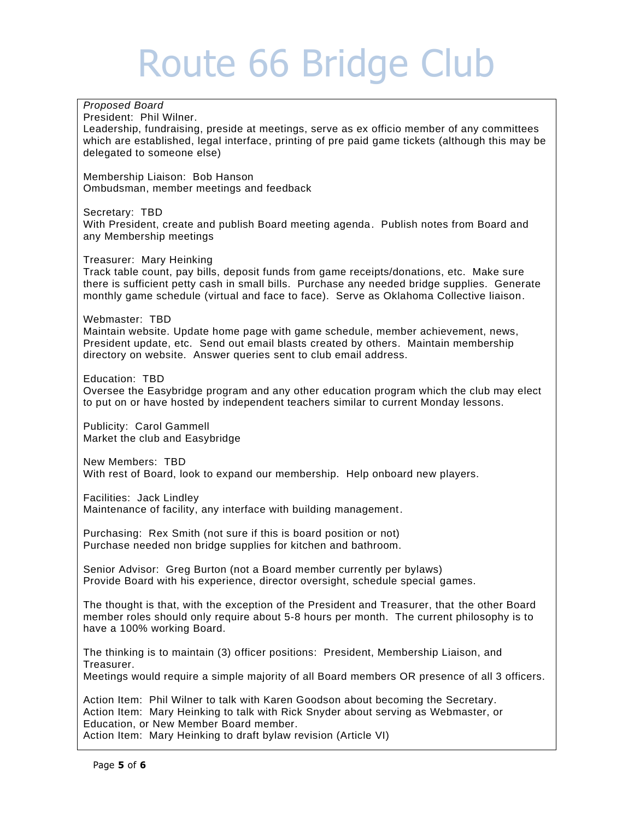### *Proposed Board* President: Phil Wilner. Leadership, fundraising, preside at meetings, serve as ex officio member of any committees which are established, legal interface, printing of pre paid game tickets (although this may be delegated to someone else) Membership Liaison: Bob Hanson Ombudsman, member meetings and feedback Secretary: TBD With President, create and publish Board meeting agenda. Publish notes from Board and any Membership meetings Treasurer: Mary Heinking Track table count, pay bills, deposit funds from game receipts/donations, etc. Make sure there is sufficient petty cash in small bills. Purchase any needed bridge supplies. Generate monthly game schedule (virtual and face to face). Serve as Oklahoma Collective liaison. Webmaster: TBD Maintain website. Update home page with game schedule, member achievement, news, President update, etc. Send out email blasts created by others. Maintain membership directory on website. Answer queries sent to club email address. Education: TBD Oversee the Easybridge program and any other education program which the club may elect to put on or have hosted by independent teachers similar to current Monday lessons. Publicity: Carol Gammell Market the club and Easybridge New Members: TBD With rest of Board, look to expand our membership. Help onboard new players. Facilities: Jack Lindley Maintenance of facility, any interface with building management. Purchasing: Rex Smith (not sure if this is board position or not) Purchase needed non bridge supplies for kitchen and bathroom. Senior Advisor: Greg Burton (not a Board member currently per bylaws) Provide Board with his experience, director oversight, schedule special games. The thought is that, with the exception of the President and Treasurer, that the other Board member roles should only require about 5-8 hours per month. The current philosophy is to have a 100% working Board. The thinking is to maintain (3) officer positions: President, Membership Liaison, and Treasurer. Meetings would require a simple majority of all Board members OR presence of all 3 officers. Action Item: Phil Wilner to talk with Karen Goodson about becoming the Secretary. Action Item: Mary Heinking to talk with Rick Snyder about serving as Webmaster, or Education, or New Member Board member.

Action Item: Mary Heinking to draft bylaw revision (Article VI)